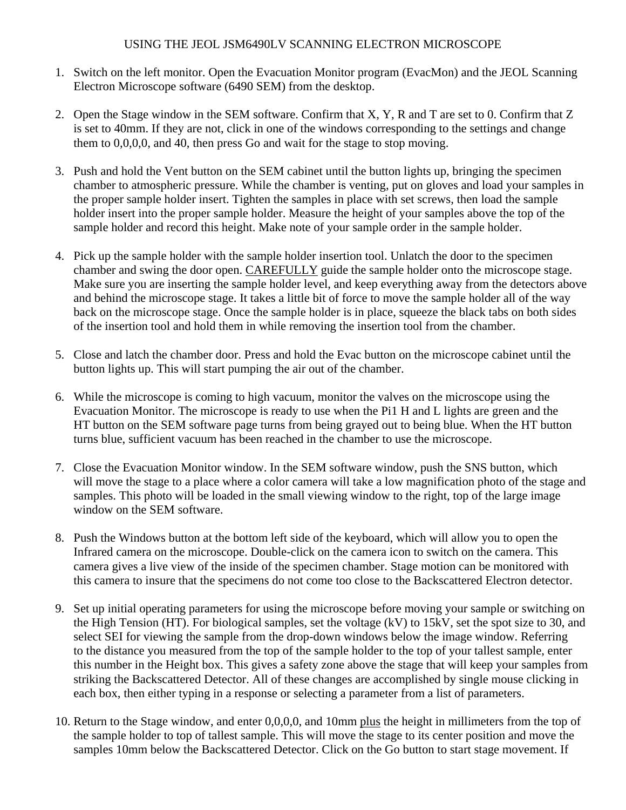## USING THE JEOL JSM6490LV SCANNING ELECTRON MICROSCOPE

- 1. Switch on the left monitor. Open the Evacuation Monitor program (EvacMon) and the JEOL Scanning Electron Microscope software (6490 SEM) from the desktop.
- 2. Open the Stage window in the SEM software. Confirm that X, Y, R and T are set to 0. Confirm that Z is set to 40mm. If they are not, click in one of the windows corresponding to the settings and change them to 0,0,0,0, and 40, then press Go and wait for the stage to stop moving.
- 3. Push and hold the Vent button on the SEM cabinet until the button lights up, bringing the specimen chamber to atmospheric pressure. While the chamber is venting, put on gloves and load your samples in the proper sample holder insert. Tighten the samples in place with set screws, then load the sample holder insert into the proper sample holder. Measure the height of your samples above the top of the sample holder and record this height. Make note of your sample order in the sample holder.
- 4. Pick up the sample holder with the sample holder insertion tool. Unlatch the door to the specimen chamber and swing the door open. CAREFULLY guide the sample holder onto the microscope stage. Make sure you are inserting the sample holder level, and keep everything away from the detectors above and behind the microscope stage. It takes a little bit of force to move the sample holder all of the way back on the microscope stage. Once the sample holder is in place, squeeze the black tabs on both sides of the insertion tool and hold them in while removing the insertion tool from the chamber.
- 5. Close and latch the chamber door. Press and hold the Evac button on the microscope cabinet until the button lights up. This will start pumping the air out of the chamber.
- 6. While the microscope is coming to high vacuum, monitor the valves on the microscope using the Evacuation Monitor. The microscope is ready to use when the Pi1 H and L lights are green and the HT button on the SEM software page turns from being grayed out to being blue. When the HT button turns blue, sufficient vacuum has been reached in the chamber to use the microscope.
- 7. Close the Evacuation Monitor window. In the SEM software window, push the SNS button, which will move the stage to a place where a color camera will take a low magnification photo of the stage and samples. This photo will be loaded in the small viewing window to the right, top of the large image window on the SEM software.
- 8. Push the Windows button at the bottom left side of the keyboard, which will allow you to open the Infrared camera on the microscope. Double-click on the camera icon to switch on the camera. This camera gives a live view of the inside of the specimen chamber. Stage motion can be monitored with this camera to insure that the specimens do not come too close to the Backscattered Electron detector.
- 9. Set up initial operating parameters for using the microscope before moving your sample or switching on the High Tension (HT). For biological samples, set the voltage (kV) to 15kV, set the spot size to 30, and select SEI for viewing the sample from the drop-down windows below the image window. Referring to the distance you measured from the top of the sample holder to the top of your tallest sample, enter this number in the Height box. This gives a safety zone above the stage that will keep your samples from striking the Backscattered Detector. All of these changes are accomplished by single mouse clicking in each box, then either typing in a response or selecting a parameter from a list of parameters.
- 10. Return to the Stage window, and enter 0,0,0,0, and 10mm plus the height in millimeters from the top of the sample holder to top of tallest sample. This will move the stage to its center position and move the samples 10mm below the Backscattered Detector. Click on the Go button to start stage movement. If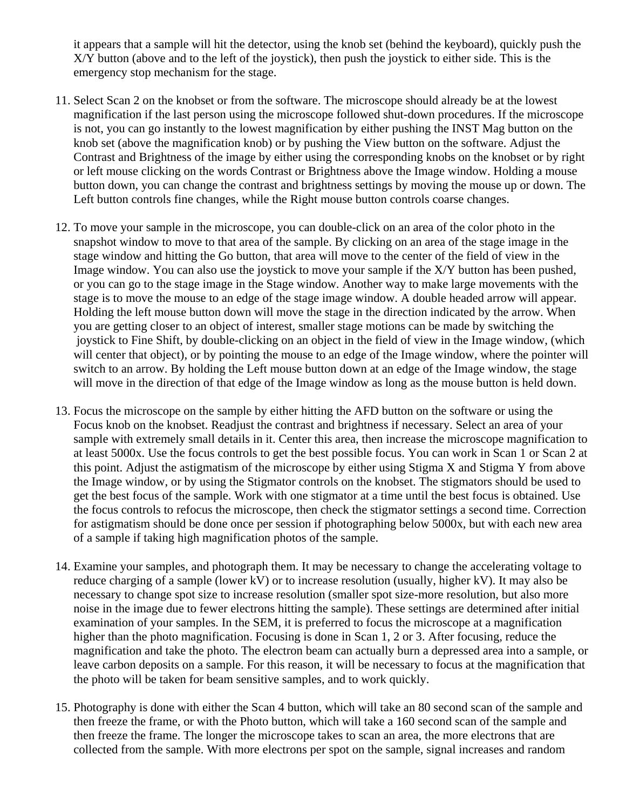it appears that a sample will hit the detector, using the knob set (behind the keyboard), quickly push the X/Y button (above and to the left of the joystick), then push the joystick to either side. This is the emergency stop mechanism for the stage.

- 11. Select Scan 2 on the knobset or from the software. The microscope should already be at the lowest magnification if the last person using the microscope followed shut-down procedures. If the microscope is not, you can go instantly to the lowest magnification by either pushing the INST Mag button on the knob set (above the magnification knob) or by pushing the View button on the software. Adjust the Contrast and Brightness of the image by either using the corresponding knobs on the knobset or by right or left mouse clicking on the words Contrast or Brightness above the Image window. Holding a mouse button down, you can change the contrast and brightness settings by moving the mouse up or down. The Left button controls fine changes, while the Right mouse button controls coarse changes.
- 12. To move your sample in the microscope, you can double-click on an area of the color photo in the snapshot window to move to that area of the sample. By clicking on an area of the stage image in the stage window and hitting the Go button, that area will move to the center of the field of view in the Image window. You can also use the joystick to move your sample if the X/Y button has been pushed, or you can go to the stage image in the Stage window. Another way to make large movements with the stage is to move the mouse to an edge of the stage image window. A double headed arrow will appear. Holding the left mouse button down will move the stage in the direction indicated by the arrow. When you are getting closer to an object of interest, smaller stage motions can be made by switching the joystick to Fine Shift, by double-clicking on an object in the field of view in the Image window, (which will center that object), or by pointing the mouse to an edge of the Image window, where the pointer will switch to an arrow. By holding the Left mouse button down at an edge of the Image window, the stage will move in the direction of that edge of the Image window as long as the mouse button is held down.
- 13. Focus the microscope on the sample by either hitting the AFD button on the software or using the Focus knob on the knobset. Readjust the contrast and brightness if necessary. Select an area of your sample with extremely small details in it. Center this area, then increase the microscope magnification to at least 5000x. Use the focus controls to get the best possible focus. You can work in Scan 1 or Scan 2 at this point. Adjust the astigmatism of the microscope by either using Stigma X and Stigma Y from above the Image window, or by using the Stigmator controls on the knobset. The stigmators should be used to get the best focus of the sample. Work with one stigmator at a time until the best focus is obtained. Use the focus controls to refocus the microscope, then check the stigmator settings a second time. Correction for astigmatism should be done once per session if photographing below 5000x, but with each new area of a sample if taking high magnification photos of the sample.
- 14. Examine your samples, and photograph them. It may be necessary to change the accelerating voltage to reduce charging of a sample (lower kV) or to increase resolution (usually, higher kV). It may also be necessary to change spot size to increase resolution (smaller spot size-more resolution, but also more noise in the image due to fewer electrons hitting the sample). These settings are determined after initial examination of your samples. In the SEM, it is preferred to focus the microscope at a magnification higher than the photo magnification. Focusing is done in Scan 1, 2 or 3. After focusing, reduce the magnification and take the photo. The electron beam can actually burn a depressed area into a sample, or leave carbon deposits on a sample. For this reason, it will be necessary to focus at the magnification that the photo will be taken for beam sensitive samples, and to work quickly.
- 15. Photography is done with either the Scan 4 button, which will take an 80 second scan of the sample and then freeze the frame, or with the Photo button, which will take a 160 second scan of the sample and then freeze the frame. The longer the microscope takes to scan an area, the more electrons that are collected from the sample. With more electrons per spot on the sample, signal increases and random